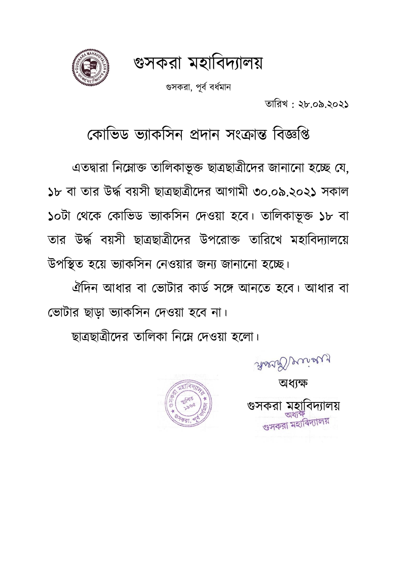গুসকরা মহাবিদ্যালয়



গুসকরা, পূর্ব বর্ধমান

তাবরখ : ২৮.০৯.২০২১

কোভিড ভ্যাকসিন প্রদান সংক্রান্ত বিজ্ঞপ্তি

এতদ্বারা নিম্নোক্ত তালিকাভূক্ত ছাত্রছাত্রীদের জানানো হচ্ছে যে, ১৮ বা তার উর্দ্ধ বয়সী ছাত্রছাত্রীদের আগামী ৩০.০৯.২০২১ সকাল ১০টা থেকে কোভিড ভ্যাকসিন দেওয়া হবে। তালিকাভূক্ত ১৮ বা তার উর্দ্ব িয়সী ছাত্রছাত্রীম্দ্র উপম্রাক্ত তাবরম্খ মহাবিদ্যালম্য় উপবিত হম্য় িযাকবসন কনওয়ার জনয জানাম্না হম্ে।

ঐদিন আধার বা ভোটার কার্ড সঙ্গে আনতে হবে। আধার বা ভোটার ছাড়া ভ্যাকসিন দেওয়া হবে না।

ছাত্রছাত্রীম্দ্র তাবলকা বনম্ন কদ্ওয়া হম্লা।



অর্যক্ষ

Assa Decises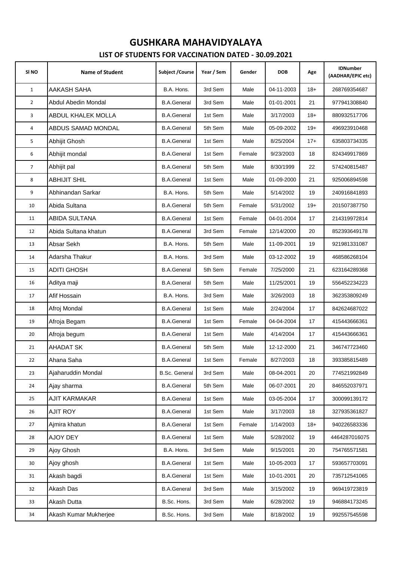| SI <sub>NO</sub> | <b>Name of Student</b> | Subject / Course     | Year / Sem | Gender | <b>DOB</b> | Age   | <b>IDNumber</b><br>(AADHAR/EPIC etc) |
|------------------|------------------------|----------------------|------------|--------|------------|-------|--------------------------------------|
| $\mathbf{1}$     | AAKASH SAHA            | B.A. Hons.           | 3rd Sem    | Male   | 04-11-2003 | $18+$ | 268769354687                         |
| $\overline{2}$   | Abdul Abedin Mondal    | <b>B.A.General</b>   | 3rd Sem    | Male   | 01-01-2001 | 21    | 977941308840                         |
| 3                | ABDUL KHALEK MOLLA     | <b>B.A.General</b>   | 1st Sem    | Male   | 3/17/2003  | $18+$ | 880932517706                         |
| 4                | ABDUS SAMAD MONDAL     | <b>B.A.General</b>   | 5th Sem    | Male   | 05-09-2002 | $19+$ | 496923910468                         |
| 5                | Abhijit Ghosh          | <b>B.A.General</b>   | 1st Sem    | Male   | 8/25/2004  | $17+$ | 635803734335                         |
| 6                | Abhijit mondal         | <b>B.A.General</b>   | 1st Sem    | Female | 9/23/2003  | 18    | 824349917869                         |
| $\overline{7}$   | Abhijit pal            | <b>B.A.General</b>   | 5th Sem    | Male   | 8/30/1999  | 22    | 574240815487                         |
| 8                | <b>ABHIJIT SHIL</b>    | <b>B.A.General</b>   | 1st Sem    | Male   | 01-09-2000 | 21    | 925006894598                         |
| 9                | Abhinandan Sarkar      | B.A. Hons.           | 5th Sem    | Male   | 5/14/2002  | 19    | 240916841893                         |
| 10               | Abida Sultana          | <b>B.A.General</b>   | 5th Sem    | Female | 5/31/2002  | $19+$ | 201507387750                         |
| 11               | ABIDA SULTANA          | <b>B.A.General</b>   | 1st Sem    | Female | 04-01-2004 | 17    | 214319972814                         |
| 12               | Abida Sultana khatun   | <b>B.A.General</b>   | 3rd Sem    | Female | 12/14/2000 | 20    | 852393649178                         |
| 13               | Absar Sekh             | B.A. Hons.           | 5th Sem    | Male   | 11-09-2001 | 19    | 921981331087                         |
| 14               | Adarsha Thakur         | B.A. Hons.           | 3rd Sem    | Male   | 03-12-2002 | 19    | 468586268104                         |
| 15               | <b>ADITI GHOSH</b>     | <b>B.A.General</b>   | 5th Sem    | Female | 7/25/2000  | 21    | 623164289368                         |
| 16               | Aditya maji            | <b>B.A.General</b>   | 5th Sem    | Male   | 11/25/2001 | 19    | 556452234223                         |
| 17               | Afif Hossain           | B.A. Hons.           | 3rd Sem    | Male   | 3/26/2003  | 18    | 362353809249                         |
| 18               | Afroj Mondal           | <b>B.A.General</b>   | 1st Sem    | Male   | 2/24/2004  | 17    | 842624687022                         |
| 19               | Afroja Begam           | <b>B.A.General</b>   | 1st Sem    | Female | 04-04-2004 | 17    | 415443666361                         |
| 20               | Afroja begum           | <b>B.A.General</b>   | 1st Sem    | Male   | 4/14/2004  | 17    | 415443666361                         |
| 21               | <b>AHADAT SK</b>       | <b>B.A.General</b>   | 5th Sem    | Male   | 12-12-2000 | 21    | 346747723460                         |
| 22               | Ahana Saha             | <b>B.A.General</b>   | 1st Sem    | Female | 8/27/2003  | 18    | 393385815489                         |
| 23               | Ajaharuddin Mondal     | <b>B.Sc. General</b> | 3rd Sem    | Male   | 08-04-2001 | 20    | 774521992849                         |
| 24               | Ajay sharma            | <b>B.A.General</b>   | 5th Sem    | Male   | 06-07-2001 | 20    | 846552037971                         |
| 25               | AJIT KARMAKAR          | <b>B.A.General</b>   | 1st Sem    | Male   | 03-05-2004 | 17    | 300099139172                         |
| 26               | <b>AJIT ROY</b>        | <b>B.A.General</b>   | 1st Sem    | Male   | 3/17/2003  | 18    | 327935361827                         |
| 27               | Ajmira khatun          | <b>B.A.General</b>   | 1st Sem    | Female | 1/14/2003  | $18+$ | 940226583336                         |
| 28               | AJOY DEY               | <b>B.A.General</b>   | 1st Sem    | Male   | 5/28/2002  | 19    | 4464287016075                        |
| 29               | Ajoy Ghosh             | B.A. Hons.           | 3rd Sem    | Male   | 9/15/2001  | 20    | 754765571581                         |
| 30               | Ajoy ghosh             | <b>B.A.General</b>   | 1st Sem    | Male   | 10-05-2003 | 17    | 593657703091                         |
| 31               | Akash bagdi            | <b>B.A.General</b>   | 1st Sem    | Male   | 10-01-2001 | 20    | 735712541065                         |
| 32               | Akash Das              | <b>B.A.General</b>   | 3rd Sem    | Male   | 3/15/2002  | 19    | 969419723819                         |
| 33               | Akash Dutta            | B.Sc. Hons.          | 3rd Sem    | Male   | 6/28/2002  | 19    | 946884173245                         |
| 34               | Akash Kumar Mukherjee  | B.Sc. Hons.          | 3rd Sem    | Male   | 8/18/2002  | 19    | 992557545598                         |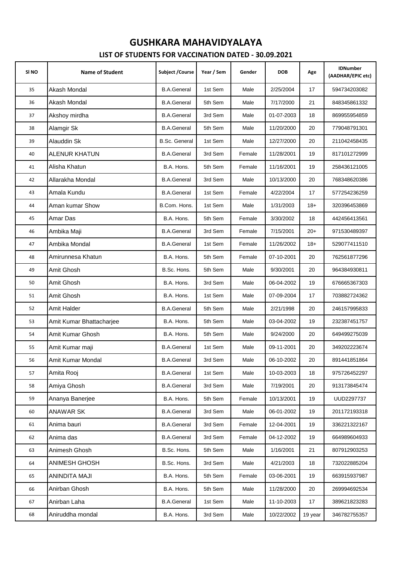| SI NO | <b>Name of Student</b>   | Subject / Course     | Year / Sem | Gender | <b>DOB</b> | Age     | <b>IDNumber</b><br>(AADHAR/EPIC etc) |
|-------|--------------------------|----------------------|------------|--------|------------|---------|--------------------------------------|
| 35    | Akash Mondal             | <b>B.A.General</b>   | 1st Sem    | Male   | 2/25/2004  | 17      | 594734203082                         |
| 36    | Akash Mondal             | <b>B.A.General</b>   | 5th Sem    | Male   | 7/17/2000  | 21      | 848345861332                         |
| 37    | Akshoy mirdha            | <b>B.A.General</b>   | 3rd Sem    | Male   | 01-07-2003 | 18      | 869955954859                         |
| 38    | Alamgir Sk               | <b>B.A.General</b>   | 5th Sem    | Male   | 11/20/2000 | 20      | 779048791301                         |
| 39    | Alauddin Sk              | <b>B.Sc. General</b> | 1st Sem    | Male   | 12/27/2000 | 20      | 211042458435                         |
| 40    | ALENUR KHATUN            | <b>B.A.General</b>   | 3rd Sem    | Female | 11/28/2001 | 19      | 817101272999                         |
| 41    | Alisha Khatun            | B.A. Hons.           | 5th Sem    | Female | 11/16/2001 | 19      | 258436121005                         |
| 42    | Allarakha Mondal         | <b>B.A.General</b>   | 3rd Sem    | Male   | 10/13/2000 | 20      | 768348620386                         |
| 43    | Amala Kundu              | <b>B.A.General</b>   | 1st Sem    | Female | 4/22/2004  | 17      | 577254236259                         |
| 44    | Aman kumar Show          | B.Com. Hons.         | 1st Sem    | Male   | 1/31/2003  | $18+$   | 320396453869                         |
| 45    | Amar Das                 | B.A. Hons.           | 5th Sem    | Female | 3/30/2002  | 18      | 442456413561                         |
| 46    | Ambika Maji              | <b>B.A.General</b>   | 3rd Sem    | Female | 7/15/2001  | $20+$   | 971530489397                         |
| 47    | Ambika Mondal            | <b>B.A.General</b>   | 1st Sem    | Female | 11/26/2002 | $18+$   | 529077411510                         |
| 48    | Amirunnesa Khatun        | B.A. Hons.           | 5th Sem    | Female | 07-10-2001 | 20      | 762561877296                         |
| 49    | Amit Ghosh               | B.Sc. Hons.          | 5th Sem    | Male   | 9/30/2001  | 20      | 964384930811                         |
| 50    | Amit Ghosh               | B.A. Hons.           | 3rd Sem    | Male   | 06-04-2002 | 19      | 676665367303                         |
| 51    | Amit Ghosh               | B.A. Hons.           | 1st Sem    | Male   | 07-09-2004 | 17      | 703882724362                         |
| 52    | Amit Halder              | <b>B.A.General</b>   | 5th Sem    | Male   | 2/21/1998  | 20      | 246157995833                         |
| 53    | Amit Kumar Bhattacharjee | B.A. Hons.           | 5th Sem    | Male   | 03-04-2002 | 19      | 232387451757                         |
| 54    | Amit Kumar Ghosh         | B.A. Hons.           | 5th Sem    | Male   | 9/24/2000  | 20      | 649499275039                         |
| 55    | Amit Kumar maji          | <b>B.A.General</b>   | 1st Sem    | Male   | 09-11-2001 | 20      | 349202223674                         |
| 56    | Amit Kumar Mondal        | <b>B.A.General</b>   | 3rd Sem    | Male   | 06-10-2002 | $20\,$  | 891441851864                         |
| 57    | Amita Rooj               | <b>B.A.General</b>   | 1st Sem    | Male   | 10-03-2003 | 18      | 975726452297                         |
| 58    | Amiya Ghosh              | <b>B.A.General</b>   | 3rd Sem    | Male   | 7/19/2001  | 20      | 913173845474                         |
| 59    | Ananya Banerjee          | B.A. Hons.           | 5th Sem    | Female | 10/13/2001 | 19      | UUD2297737                           |
| 60    | ANAWAR SK                | <b>B.A.General</b>   | 3rd Sem    | Male   | 06-01-2002 | 19      | 201172193318                         |
| 61    | Anima bauri              | <b>B.A.General</b>   | 3rd Sem    | Female | 12-04-2001 | 19      | 336221322167                         |
| 62    | Anima das                | <b>B.A.General</b>   | 3rd Sem    | Female | 04-12-2002 | 19      | 664989604933                         |
| 63    | Animesh Ghosh            | B.Sc. Hons.          | 5th Sem    | Male   | 1/16/2001  | 21      | 807912903253                         |
| 64    | ANIMESH GHOSH            | B.Sc. Hons.          | 3rd Sem    | Male   | 4/21/2003  | 18      | 732022885204                         |
| 65    | <b>ANINDITA MAJI</b>     | B.A. Hons.           | 5th Sem    | Female | 03-06-2001 | 19      | 663915937987                         |
| 66    | Anirban Ghosh            | B.A. Hons.           | 5th Sem    | Male   | 11/28/2000 | 20      | 269994692534                         |
| 67    | Anirban Laha             | <b>B.A.General</b>   | 1st Sem    | Male   | 11-10-2003 | 17      | 389621823283                         |
| 68    | Aniruddha mondal         | B.A. Hons.           | 3rd Sem    | Male   | 10/22/2002 | 19 year | 346782755357                         |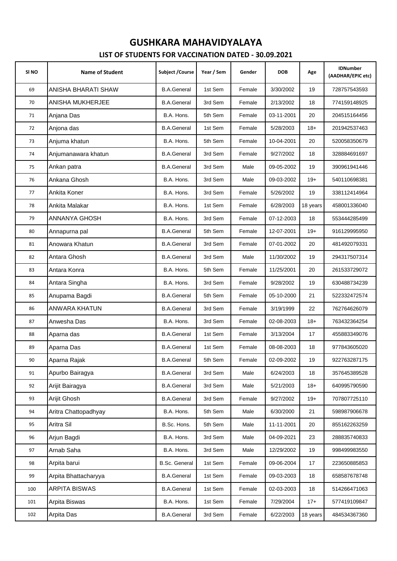| SI <sub>NO</sub> | <b>Name of Student</b> | <b>Subject / Course</b> | Year / Sem | Gender | <b>DOB</b> | Age      | <b>IDNumber</b><br>(AADHAR/EPIC etc) |
|------------------|------------------------|-------------------------|------------|--------|------------|----------|--------------------------------------|
| 69               | ANISHA BHARATI SHAW    | <b>B.A.General</b>      | 1st Sem    | Female | 3/30/2002  | 19       | 728757543593                         |
| 70               | ANISHA MUKHERJEE       | <b>B.A.General</b>      | 3rd Sem    | Female | 2/13/2002  | 18       | 774159148925                         |
| 71               | Anjana Das             | B.A. Hons.              | 5th Sem    | Female | 03-11-2001 | 20       | 204515164456                         |
| 72               | Anjona das             | <b>B.A.General</b>      | 1st Sem    | Female | 5/28/2003  | $18+$    | 201942537463                         |
| 73               | Anjuma khatun          | B.A. Hons.              | 5th Sem    | Female | 10-04-2001 | 20       | 520058350679                         |
| 74               | Anjumanawara khatun    | <b>B.A.General</b>      | 3rd Sem    | Female | 9/27/2002  | 18       | 328884691697                         |
| 75               | Ankan patra            | <b>B.A.General</b>      | 3rd Sem    | Male   | 09-05-2002 | 19       | 390961941446                         |
| 76               | Ankana Ghosh           | B.A. Hons.              | 3rd Sem    | Male   | 09-03-2002 | $19+$    | 540110698381                         |
| 77               | Ankita Koner           | B.A. Hons.              | 3rd Sem    | Female | 5/26/2002  | 19       | 338112414964                         |
| 78               | Ankita Malakar         | B.A. Hons.              | 1st Sem    | Female | 6/28/2003  | 18 years | 458001336040                         |
| 79               | ANNANYA GHOSH          | B.A. Hons.              | 3rd Sem    | Female | 07-12-2003 | 18       | 553444285499                         |
| 80               | Annapurna pal          | <b>B.A.General</b>      | 5th Sem    | Female | 12-07-2001 | $19+$    | 916129995950                         |
| 81               | Anowara Khatun         | <b>B.A.General</b>      | 3rd Sem    | Female | 07-01-2002 | 20       | 481492079331                         |
| 82               | Antara Ghosh           | <b>B.A.General</b>      | 3rd Sem    | Male   | 11/30/2002 | 19       | 294317507314                         |
| 83               | Antara Konra           | B.A. Hons.              | 5th Sem    | Female | 11/25/2001 | 20       | 261533729072                         |
| 84               | Antara Singha          | B.A. Hons.              | 3rd Sem    | Female | 9/28/2002  | 19       | 630488734239                         |
| 85               | Anupama Bagdi          | <b>B.A.General</b>      | 5th Sem    | Female | 05-10-2000 | 21       | 522332472574                         |
| 86               | ANWARA KHATUN          | <b>B.A.General</b>      | 3rd Sem    | Female | 3/19/1999  | 22       | 762764626079                         |
| 87               | Anwesha Das            | B.A. Hons.              | 3rd Sem    | Female | 02-08-2003 | $18+$    | 763432364254                         |
| 88               | Aparna das             | <b>B.A.General</b>      | 1st Sem    | Female | 3/13/2004  | 17       | 455883349076                         |
| 89               | Aparna Das             | <b>B.A.General</b>      | 1st Sem    | Female | 08-08-2003 | 18       | 977843605020                         |
| 90               | Aparna Rajak           | <b>B.A.General</b>      | 5th Sem    | Female | 02-09-2002 | 19       | 922763287175                         |
| 91               | Apurbo Bairagya        | <b>B.A.General</b>      | 3rd Sem    | Male   | 6/24/2003  | 18       | 357645389528                         |
| 92               | Arijit Bairagya        | <b>B.A.General</b>      | 3rd Sem    | Male   | 5/21/2003  | $18+$    | 640995790590                         |
| 93               | Arijit Ghosh           | <b>B.A.General</b>      | 3rd Sem    | Female | 9/27/2002  | $19+$    | 707807725110                         |
| 94               | Aritra Chattopadhyay   | B.A. Hons.              | 5th Sem    | Male   | 6/30/2000  | 21       | 598987906678                         |
| 95               | Aritra Sil             | B.Sc. Hons.             | 5th Sem    | Male   | 11-11-2001 | 20       | 855162263259                         |
| 96               | Arjun Bagdi            | B.A. Hons.              | 3rd Sem    | Male   | 04-09-2021 | 23       | 288835740833                         |
| 97               | Arnab Saha             | B.A. Hons.              | 3rd Sem    | Male   | 12/29/2002 | 19       | 998499983550                         |
| 98               | Arpita barui           | <b>B.Sc. General</b>    | 1st Sem    | Female | 09-06-2004 | 17       | 223650885853                         |
| 99               | Arpita Bhattacharyya   | <b>B.A.General</b>      | 1st Sem    | Female | 09-03-2003 | 18       | 658587678748                         |
| 100              | ARPITA BISWAS          | <b>B.A.General</b>      | 1st Sem    | Female | 02-03-2003 | 18       | 514266471063                         |
| 101              | Arpita Biswas          | B.A. Hons.              | 1st Sem    | Female | 7/29/2004  | $17+$    | 577419109847                         |
| 102              | Arpita Das             | <b>B.A.General</b>      | 3rd Sem    | Female | 6/22/2003  | 18 years | 484534367360                         |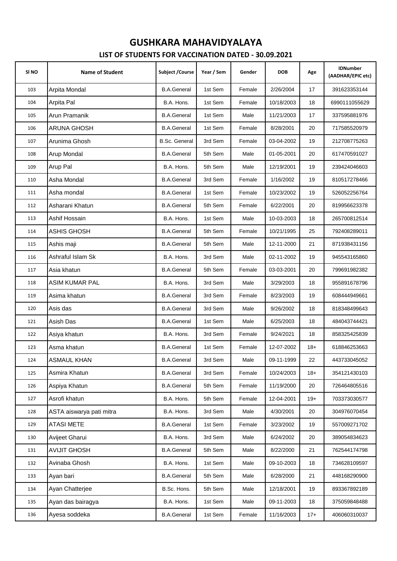| SI NO | <b>Name of Student</b>   | <b>Subject / Course</b> | Year / Sem | Gender | <b>DOB</b> | Age   | <b>IDNumber</b><br>(AADHAR/EPIC etc) |
|-------|--------------------------|-------------------------|------------|--------|------------|-------|--------------------------------------|
| 103   | Arpita Mondal            | <b>B.A.General</b>      | 1st Sem    | Female | 2/26/2004  | 17    | 391623353144                         |
| 104   | Arpita Pal               | B.A. Hons.              | 1st Sem    | Female | 10/18/2003 | 18    | 6990111055629                        |
| 105   | Arun Pramanik            | <b>B.A.General</b>      | 1st Sem    | Male   | 11/21/2003 | 17    | 337595881976                         |
| 106   | <b>ARUNA GHOSH</b>       | <b>B.A.General</b>      | 1st Sem    | Female | 8/28/2001  | 20    | 717585520979                         |
| 107   | Arunima Ghosh            | <b>B.Sc. General</b>    | 3rd Sem    | Female | 03-04-2002 | 19    | 212708775263                         |
| 108   | Arup Mondal              | <b>B.A.General</b>      | 5th Sem    | Male   | 01-05-2001 | 20    | 617470591027                         |
| 109   | Arup Pal                 | B.A. Hons.              | 5th Sem    | Male   | 12/19/2001 | 19    | 239424046603                         |
| 110   | Asha Mondal              | <b>B.A.General</b>      | 3rd Sem    | Female | 1/16/2002  | 19    | 810517278466                         |
| 111   | Asha mondal              | <b>B.A.General</b>      | 1st Sem    | Female | 10/23/2002 | 19    | 526052256764                         |
| 112   | Asharani Khatun          | <b>B.A.General</b>      | 5th Sem    | Female | 6/22/2001  | 20    | 819956623378                         |
| 113   | Ashif Hossain            | B.A. Hons.              | 1st Sem    | Male   | 10-03-2003 | 18    | 265700812514                         |
| 114   | ASHIS GHOSH              | <b>B.A.General</b>      | 5th Sem    | Female | 10/21/1995 | 25    | 792408289011                         |
| 115   | Ashis maji               | <b>B.A.General</b>      | 5th Sem    | Male   | 12-11-2000 | 21    | 871938431156                         |
| 116   | Ashraful Islam Sk        | B.A. Hons.              | 3rd Sem    | Male   | 02-11-2002 | 19    | 945543165860                         |
| 117   | Asia khatun              | <b>B.A.General</b>      | 5th Sem    | Female | 03-03-2001 | 20    | 799691982382                         |
| 118   | <b>ASIM KUMAR PAL</b>    | B.A. Hons.              | 3rd Sem    | Male   | 3/29/2003  | 18    | 955891678796                         |
| 119   | Asima khatun             | <b>B.A.General</b>      | 3rd Sem    | Female | 8/23/2003  | 19    | 608444949661                         |
| 120   | Asis das                 | <b>B.A.General</b>      | 3rd Sem    | Male   | 9/26/2002  | 18    | 818348499643                         |
| 121   | Asish Das                | <b>B.A.General</b>      | 1st Sem    | Male   | 6/25/2003  | 18    | 484043744421                         |
| 122   | Asiya khatun             | B.A. Hons.              | 3rd Sem    | Female | 9/24/2021  | 18    | 858325425839                         |
| 123   | Asma khatun              | <b>B.A.General</b>      | 1st Sem    | Female | 12-07-2002 | $18+$ | 618846253663                         |
| 124   | ASMAUL KHAN              | <b>B.A.General</b>      | 3rd Sem    | Male   | 09-11-1999 | 22    | 443733045052                         |
| 125   | Asmira Khatun            | <b>B.A.General</b>      | 3rd Sem    | Female | 10/24/2003 | $18+$ | 354121430103                         |
| 126   | Aspiya Khatun            | <b>B.A.General</b>      | 5th Sem    | Female | 11/19/2000 | 20    | 726464805516                         |
| 127   | Asrofi khatun            | B.A. Hons.              | 5th Sem    | Female | 12-04-2001 | $19+$ | 703373030577                         |
| 128   | ASTA aiswarya pati mitra | B.A. Hons.              | 3rd Sem    | Male   | 4/30/2001  | 20    | 304976070454                         |
| 129   | <b>ATASI METE</b>        | <b>B.A.General</b>      | 1st Sem    | Female | 3/23/2002  | 19    | 557009271702                         |
| 130   | Avijeet Gharui           | B.A. Hons.              | 3rd Sem    | Male   | 6/24/2002  | 20    | 389054834623                         |
| 131   | <b>AVIJIT GHOSH</b>      | <b>B.A.General</b>      | 5th Sem    | Male   | 8/22/2000  | 21    | 762544174798                         |
| 132   | Avinaba Ghosh            | B.A. Hons.              | 1st Sem    | Male   | 09-10-2003 | 18    | 734628109597                         |
| 133   | Ayan bari                | <b>B.A.General</b>      | 5th Sem    | Male   | 6/28/2000  | 21    | 448168290900                         |
| 134   | Ayan Chatterjee          | B.Sc. Hons.             | 5th Sem    | Male   | 12/18/2001 | 19    | 893367892189                         |
| 135   | Ayan das bairagya        | B.A. Hons.              | 1st Sem    | Male   | 09-11-2003 | 18    | 375059848488                         |
| 136   | Ayesa soddeka            | <b>B.A.General</b>      | 1st Sem    | Female | 11/16/2003 | $17+$ | 406060310037                         |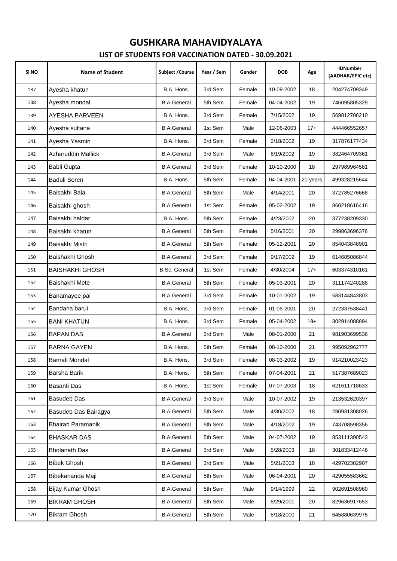| SI <sub>NO</sub> | <b>Name of Student</b>   | Subject / Course     | Year / Sem | Gender | <b>DOB</b> | Age      | <b>IDNumber</b><br>(AADHAR/EPIC etc) |
|------------------|--------------------------|----------------------|------------|--------|------------|----------|--------------------------------------|
| 137              | Ayesha khatun            | B.A. Hons.           | 3rd Sem    | Female | 10-09-2002 | 18       | 204274709349                         |
| 138              | Ayesha mondal            | <b>B.A.General</b>   | 5th Sem    | Female | 04-04-2002 | 19       | 746095805329                         |
| 139              | AYESHA PARVEEN           | B.A. Hons.           | 3rd Sem    | Female | 7/15/2002  | 19       | 569812706210                         |
| 140              | Ayesha sultana           | <b>B.A.General</b>   | 1st Sem    | Male   | 12-06-2003 | $17+$    | 444466552657                         |
| 141              | Ayesha Yasmin            | B.A. Hons.           | 3rd Sem    | Female | 2/18/2002  | 19       | 317876177434                         |
| 142              | Azharuddin Mallick       | <b>B.A.General</b>   | 3rd Sem    | Male   | 8/19/2002  | 19       | 382464709361                         |
| 143              | Babli Gupta              | <b>B.A.General</b>   | 3rd Sem    | Female | 10-10-2000 | 18       | 297989964581                         |
| 144              | <b>Baduli Soren</b>      | B.A. Hons.           | 5th Sem    | Female | 04-04-2001 | 20 years | 499328215644                         |
| 145              | Baisakhi Bala            | <b>B.A.General</b>   | 5th Sem    | Male   | 4/14/2001  | 20       | 372785276668                         |
| 146              | Baisakhi ghosh           | <b>B.A.General</b>   | 1st Sem    | Female | 05-02-2002 | 19       | 860218616416                         |
| 147              | Baisakhi haldar          | B.A. Hons.           | 5th Sem    | Female | 4/23/2002  | 20       | 377238209330                         |
| 148              | Baisakhi khatun          | <b>B.A.General</b>   | 5th Sem    | Female | 5/16/2001  | 20       | 299863696376                         |
| 149              | Baisakhi Mistri          | <b>B.A.General</b>   | 5th Sem    | Female | 05-12-2001 | 20       | 854043848901                         |
| 150              | Baishakhi Ghosh          | <b>B.A.General</b>   | 3rd Sem    | Female | 9/17/2002  | 19       | 614685086844                         |
| 151              | <b>BAISHAKHI GHOSH</b>   | <b>B.Sc. General</b> | 1st Sem    | Female | 4/30/2004  | $17+$    | 603374310161                         |
| 152              | Baishakhi Mete           | <b>B.A.General</b>   | 5th Sem    | Female | 05-03-2001 | 20       | 311174240288                         |
| 153              | Banamayee pal            | <b>B.A.General</b>   | 3rd Sem    | Female | 10-01-2002 | 19       | 583144843803                         |
| 154              | Bandana barui            | B.A. Hons.           | 3rd Sem    | Female | 01-05-2001 | 20       | 272337538441                         |
| 155              | <b>BANI KHATUN</b>       | B.A. Hons.           | 3rd Sem    | Female | 05-04-2002 | $19+$    | 302914088894                         |
| 156              | <b>BAPAN DAS</b>         | <b>B.A.General</b>   | 3rd Sem    | Male   | 08-01-2000 | 21       | 981903699536                         |
| 157              | <b>BARNA GAYEN</b>       | B.A. Hons.           | 5th Sem    | Female | 08-10-2000 | 21       | 995092962777                         |
| 158              | Barnali Mondal           | B.A. Hons.           | 3rd Sem    | Female | 08-03-2002 | 19       | 914210023423                         |
| 159              | Barsha Barik             | B.A. Hons.           | 5th Sem    | Female | 07-04-2001 | 21       | 517387689023                         |
| 160              | Basanti Das              | B.A. Hons.           | 1st Sem    | Female | 07-07-2003 | 18       | 621611718633                         |
| 161              | Basudeb Das              | <b>B.A.General</b>   | 3rd Sem    | Male   | 10-07-2002 | 19       | 213532620397                         |
| 162              | Basudeb Das Bairagya     | <b>B.A.General</b>   | 5th Sem    | Male   | 4/30/2002  | 18       | 280931308026                         |
| 163              | <b>Bhairab Paramanik</b> | <b>B.A.General</b>   | 5th Sem    | Male   | 4/18/2002  | 19       | 743708598356                         |
| 164              | <b>BHASKAR DAS</b>       | <b>B.A.General</b>   | 5th Sem    | Male   | 04-07-2002 | 19       | 853111390543                         |
| 165              | <b>Bholanath Das</b>     | <b>B.A.General</b>   | 3rd Sem    | Male   | 5/28/2003  | 18       | 301833412446                         |
| 166              | <b>Bibek Ghosh</b>       | <b>B.A.General</b>   | 3rd Sem    | Male   | 5/21/2003  | 18       | 429702302907                         |
| 167              | Bibekananda Maji         | <b>B.A.General</b>   | 5th Sem    | Male   | 06-04-2001 | 20       | 429055583662                         |
| 168              | Bijay Kumar Ghosh        | <b>B.A.General</b>   | 5th Sem    | Male   | 9/14/1999  | 22       | 902691508960                         |
| 169              | <b>BIKRAM GHOSH</b>      | <b>B.A.General</b>   | 5th Sem    | Male   | 8/29/2001  | 20       | 829636917653                         |
| 170              | Bikram Ghosh             | <b>B.A.General</b>   | 5th Sem    | Male   | 8/18/2000  | 21       | 645880639975                         |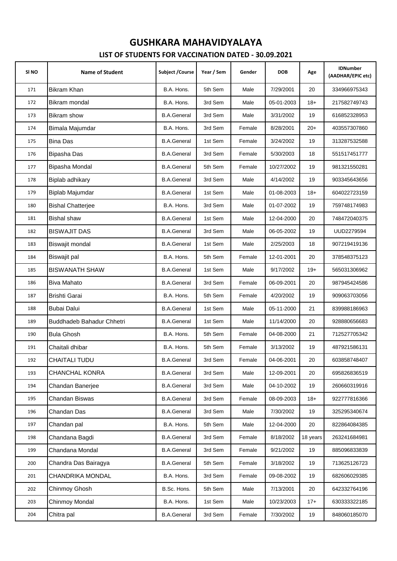| SI <sub>NO</sub> | <b>Name of Student</b>    | Subject / Course   | Year / Sem | Gender | <b>DOB</b> | Age      | <b>IDNumber</b><br>(AADHAR/EPIC etc) |
|------------------|---------------------------|--------------------|------------|--------|------------|----------|--------------------------------------|
| 171              | Bikram Khan               | B.A. Hons.         | 5th Sem    | Male   | 7/29/2001  | 20       | 334966975343                         |
| 172              | Bikram mondal             | B.A. Hons.         | 3rd Sem    | Male   | 05-01-2003 | $18+$    | 217582749743                         |
| 173              | Bikram show               | <b>B.A.General</b> | 3rd Sem    | Male   | 3/31/2002  | 19       | 616852328953                         |
| 174              | Bimala Majumdar           | B.A. Hons.         | 3rd Sem    | Female | 8/28/2001  | $20+$    | 403557307860                         |
| 175              | <b>Bina Das</b>           | <b>B.A.General</b> | 1st Sem    | Female | 3/24/2002  | 19       | 313287532588                         |
| 176              | Bipasha Das               | <b>B.A.General</b> | 3rd Sem    | Female | 5/30/2003  | 18       | 551517451777                         |
| 177              | Bipasha Mondal            | <b>B.A.General</b> | 5th Sem    | Female | 10/27/2002 | 19       | 981321550281                         |
| 178              | Biplab adhikary           | <b>B.A.General</b> | 3rd Sem    | Male   | 4/14/2002  | 19       | 903345643656                         |
| 179              | Biplab Majumdar           | <b>B.A.General</b> | 1st Sem    | Male   | 01-08-2003 | $18+$    | 604022723159                         |
| 180              | <b>Bishal Chatterjee</b>  | B.A. Hons.         | 3rd Sem    | Male   | 01-07-2002 | 19       | 759748174983                         |
| 181              | Bishal shaw               | <b>B.A.General</b> | 1st Sem    | Male   | 12-04-2000 | 20       | 748472040375                         |
| 182              | <b>BISWAJIT DAS</b>       | <b>B.A.General</b> | 3rd Sem    | Male   | 06-05-2002 | 19       | UUD2279594                           |
| 183              | Biswajit mondal           | <b>B.A.General</b> | 1st Sem    | Male   | 2/25/2003  | 18       | 907219419136                         |
| 184              | Biswajit pal              | B.A. Hons.         | 5th Sem    | Female | 12-01-2001 | 20       | 378548375123                         |
| 185              | <b>BISWANATH SHAW</b>     | <b>B.A.General</b> | 1st Sem    | Male   | 9/17/2002  | $19+$    | 565031306962                         |
| 186              | Biva Mahato               | <b>B.A.General</b> | 3rd Sem    | Female | 06-09-2001 | 20       | 987945424586                         |
| 187              | Brishti Garai             | B.A. Hons.         | 5th Sem    | Female | 4/20/2002  | 19       | 909063703056                         |
| 188              | <b>Bubai Dalui</b>        | <b>B.A.General</b> | 1st Sem    | Male   | 05-11-2000 | 21       | 839988186963                         |
| 189              | Buddhadeb Bahadur Chhetri | <b>B.A.General</b> | 1st Sem    | Male   | 11/14/2000 | 20       | 928880656683                         |
| 190              | <b>Bula Ghosh</b>         | B.A. Hons.         | 5th Sem    | Female | 04-08-2000 | 21       | 712527705342                         |
| 191              | Chaitali dhibar           | B.A. Hons.         | 5th Sem    | Female | 3/13/2002  | 19       | 487921586131                         |
| 192              | CHAITALI TUDU             | <b>B.A.General</b> | 3rd Sem    | Female | 04-06-2001 | 20       | 603858748407                         |
| 193              | CHANCHAL KONRA            | <b>B.A.General</b> | 3rd Sem    | Male   | 12-09-2001 | 20       | 695826836519                         |
| 194              | Chandan Banerjee          | <b>B.A.General</b> | 3rd Sem    | Male   | 04-10-2002 | 19       | 260660319916                         |
| 195              | Chandan Biswas            | <b>B.A.General</b> | 3rd Sem    | Female | 08-09-2003 | $18+$    | 922777816366                         |
| 196              | Chandan Das               | <b>B.A.General</b> | 3rd Sem    | Male   | 7/30/2002  | 19       | 325295340674                         |
| 197              | Chandan pal               | B.A. Hons.         | 5th Sem    | Male   | 12-04-2000 | 20       | 822864084385                         |
| 198              | Chandana Bagdi            | <b>B.A.General</b> | 3rd Sem    | Female | 8/18/2002  | 18 years | 263241684981                         |
| 199              | Chandana Mondal           | <b>B.A.General</b> | 3rd Sem    | Female | 9/21/2002  | 19       | 885096833839                         |
| 200              | Chandra Das Bairagya      | <b>B.A.General</b> | 5th Sem    | Female | 3/18/2002  | 19       | 713625126723                         |
| 201              | CHANDRIKA MONDAL          | B.A. Hons.         | 3rd Sem    | Female | 09-08-2002 | 19       | 682606029385                         |
| 202              | Chinmoy Ghosh             | B.Sc. Hons.        | 5th Sem    | Male   | 7/13/2001  | 20       | 642332764196                         |
| 203              | Chinmoy Mondal            | B.A. Hons.         | 1st Sem    | Male   | 10/23/2003 | $17+$    | 630333322185                         |
| 204              | Chitra pal                | <b>B.A.General</b> | 3rd Sem    | Female | 7/30/2002  | 19       | 848060185070                         |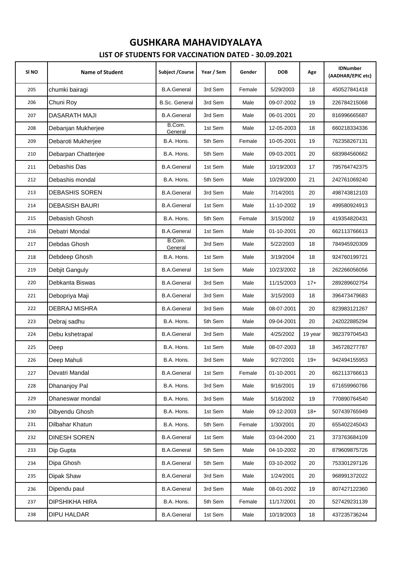| SI <sub>NO</sub> | <b>Name of Student</b> | <b>Subject / Course</b> | Year / Sem | Gender | <b>DOB</b> | Age     | <b>IDNumber</b><br>(AADHAR/EPIC etc) |
|------------------|------------------------|-------------------------|------------|--------|------------|---------|--------------------------------------|
| 205              | chumki bairagi         | <b>B.A.General</b>      | 3rd Sem    | Female | 5/29/2003  | 18      | 450527841418                         |
| 206              | Chuni Roy              | <b>B.Sc. General</b>    | 3rd Sem    | Male   | 09-07-2002 | 19      | 226784215068                         |
| 207              | DASARATH MAJI          | <b>B.A.General</b>      | 3rd Sem    | Male   | 06-01-2001 | 20      | 816996665687                         |
| 208              | Debanjan Mukherjee     | B.Com.<br>General       | 1st Sem    | Male   | 12-05-2003 | 18      | 660218334336                         |
| 209              | Debaroti Mukherjee     | B.A. Hons.              | 5th Sem    | Female | 10-05-2001 | 19      | 762358267131                         |
| 210              | Debarpan Chatterjee    | B.A. Hons.              | 5th Sem    | Male   | 09-03-2001 | 20      | 683984560662                         |
| 211              | Debashis Das           | <b>B.A.General</b>      | 1st Sem    | Male   | 10/19/2003 | 17      | 795764742375                         |
| 212              | Debashis mondal        | B.A. Hons.              | 5th Sem    | Male   | 10/29/2000 | 21      | 242761069240                         |
| 213              | <b>DEBASHIS SOREN</b>  | <b>B.A.General</b>      | 3rd Sem    | Male   | 7/14/2001  | 20      | 498743812103                         |
| 214              | <b>DEBASISH BAURI</b>  | <b>B.A.General</b>      | 1st Sem    | Male   | 11-10-2002 | 19      | 499580924913                         |
| 215              | Debasish Ghosh         | B.A. Hons.              | 5th Sem    | Female | 3/15/2002  | 19      | 419354820431                         |
| 216              | Debatri Mondal         | <b>B.A.General</b>      | 1st Sem    | Male   | 01-10-2001 | 20      | 662113766613                         |
| 217              | Debdas Ghosh           | B.Com.<br>General       | 3rd Sem    | Male   | 5/22/2003  | 18      | 784945920309                         |
| 218              | Debdeep Ghosh          | B.A. Hons.              | 1st Sem    | Male   | 3/19/2004  | 18      | 924760199721                         |
| 219              | Debjit Ganguly         | <b>B.A.General</b>      | 1st Sem    | Male   | 10/23/2002 | 18      | 262266056056                         |
| 220              | Debkanta Biswas        | <b>B.A.General</b>      | 3rd Sem    | Male   | 11/15/2003 | $17+$   | 289289602754                         |
| 221              | Debopriya Maji         | <b>B.A.General</b>      | 3rd Sem    | Male   | 3/15/2003  | 18      | 396473479683                         |
| 222              | <b>DEBRAJ MISHRA</b>   | <b>B.A.General</b>      | 3rd Sem    | Male   | 08-07-2001 | 20      | 823983121267                         |
| 223              | Debraj sadhu           | B.A. Hons.              | 5th Sem    | Male   | 09-04-2001 | 20      | 242022885294                         |
| 224              | Debu kshetrapal        | <b>B.A.General</b>      | 3rd Sem    | Male   | 4/25/2002  | 19 year | 982379704543                         |
| 225              | Deep                   | B.A. Hons.              | 1st Sem    | Male   | 08-07-2003 | 18      | 345728277787                         |
| 226              | Deep Mahuli            | B.A. Hons.              | 3rd Sem    | Male   | 9/27/2001  | $19+$   | 942494155953                         |
| 227              | Devatri Mandal         | <b>B.A.General</b>      | 1st Sem    | Female | 01-10-2001 | 20      | 662113766613                         |
| 228              | Dhananjoy Pal          | B.A. Hons.              | 3rd Sem    | Male   | 9/16/2001  | 19      | 671659960766                         |
| 229              | Dhaneswar mondal       | B.A. Hons.              | 3rd Sem    | Male   | 5/16/2002  | 19      | 770890764540                         |
| 230              | Dibyendu Ghosh         | B.A. Hons.              | 1st Sem    | Male   | 09-12-2003 | $18+$   | 507439765949                         |
| 231              | Dilbahar Khatun        | B.A. Hons.              | 5th Sem    | Female | 1/30/2001  | 20      | 655402245043                         |
| 232              | <b>DINESH SOREN</b>    | <b>B.A.General</b>      | 1st Sem    | Male   | 03-04-2000 | 21      | 373763684109                         |
| 233              | Dip Gupta              | <b>B.A.General</b>      | 5th Sem    | Male   | 04-10-2002 | 20      | 879609875726                         |
| 234              | Dipa Ghosh             | <b>B.A.General</b>      | 5th Sem    | Male   | 03-10-2002 | 20      | 753301297126                         |
| 235              | Dipak Shaw             | <b>B.A.General</b>      | 3rd Sem    | Male   | 1/24/2001  | 20      | 968991372022                         |
| 236              | Dipendu paul           | <b>B.A.General</b>      | 3rd Sem    | Male   | 08-01-2002 | 19      | 807427122360                         |
| 237              | DIPSHIKHA HIRA         | B.A. Hons.              | 5th Sem    | Female | 11/17/2001 | 20      | 527429231139                         |
| 238              | DIPU HALDAR            | <b>B.A.General</b>      | 1st Sem    | Male   | 10/19/2003 | 18      | 437235736244                         |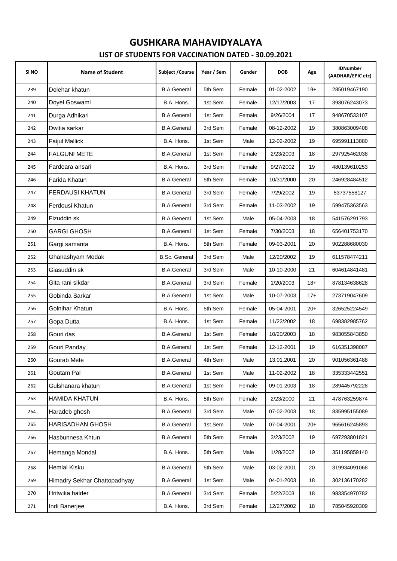| SI <sub>NO</sub> | <b>Name of Student</b>       | <b>Subject / Course</b> | Year / Sem | Gender | <b>DOB</b> | Age   | <b>IDNumber</b><br>(AADHAR/EPIC etc) |
|------------------|------------------------------|-------------------------|------------|--------|------------|-------|--------------------------------------|
| 239              | Dolehar khatun               | <b>B.A.General</b>      | 5th Sem    | Female | 01-02-2002 | $19+$ | 285019467190                         |
| 240              | Doyel Goswami                | B.A. Hons.              | 1st Sem    | Female | 12/17/2003 | 17    | 393076243073                         |
| 241              | Durga Adhikari               | <b>B.A.General</b>      | 1st Sem    | Female | 9/26/2004  | 17    | 948670533107                         |
| 242              | Dwitia sarkar                | <b>B.A.General</b>      | 3rd Sem    | Female | 08-12-2002 | 19    | 380863009408                         |
| 243              | Faijul Mallick               | B.A. Hons.              | 1st Sem    | Male   | 12-02-2002 | 19    | 695991113880                         |
| 244              | <b>FALGUNI METE</b>          | <b>B.A.General</b>      | 1st Sem    | Female | 2/23/2003  | 18    | 297925462038                         |
| 245              | Fardeara ansari              | B.A. Hons.              | 3rd Sem    | Female | 9/27/2002  | 19    | 480139610253                         |
| 246              | Farida Khatun                | <b>B.A.General</b>      | 5th Sem    | Female | 10/31/2000 | 20    | 246928484512                         |
| 247              | <b>FERDAUSI KHATUN</b>       | <b>B.A.General</b>      | 3rd Sem    | Female | 7/29/2002  | 19    | 53737558127                          |
| 248              | Ferdousi Khatun              | <b>B.A.General</b>      | 3rd Sem    | Female | 11-03-2002 | 19    | 599475363563                         |
| 249              | Fizuddin sk                  | <b>B.A.General</b>      | 1st Sem    | Male   | 05-04-2003 | 18    | 541576291793                         |
| 250              | <b>GARGI GHOSH</b>           | <b>B.A.General</b>      | 1st Sem    | Female | 7/30/2003  | 18    | 656401753170                         |
| 251              | Gargi samanta                | B.A. Hons.              | 5th Sem    | Female | 09-03-2001 | 20    | 902288680030                         |
| 252              | Ghanashyam Modak             | <b>B.Sc. General</b>    | 3rd Sem    | Male   | 12/20/2002 | 19    | 611578474211                         |
| 253              | Giasuddin sk                 | <b>B.A.General</b>      | 3rd Sem    | Male   | 10-10-2000 | 21    | 604614841481                         |
| 254              | Gita rani sikdar             | <b>B.A.General</b>      | 3rd Sem    | Female | 1/20/2003  | $18+$ | 878134638628                         |
| 255              | Gobinda Sarkar               | <b>B.A.General</b>      | 1st Sem    | Male   | 10-07-2003 | $17+$ | 273719047609                         |
| 256              | Golnihar Khatun              | B.A. Hons.              | 5th Sem    | Female | 05-04-2001 | $20+$ | 326525224549                         |
| 257              | Gopa Dutta                   | B.A. Hons.              | 1st Sem    | Female | 11/22/2002 | 18    | 698382985762                         |
| 258              | Gouri das                    | <b>B.A.General</b>      | 1st Sem    | Female | 10/20/2003 | 18    | 983055843850                         |
| 259              | Gouri Panday                 | <b>B.A.General</b>      | 1st Sem    | Female | 12-12-2001 | 19    | 616351398087                         |
| 260              | Gourab Mete                  | <b>B.A.General</b>      | 4th Sem    | Male   | 13.01.2001 | 20    | 901056361488                         |
| 261              | Goutam Pal                   | <b>B.A.General</b>      | 1st Sem    | Male   | 11-02-2002 | 18    | 335333442551                         |
| 262              | Gulshanara khatun            | <b>B.A.General</b>      | 1st Sem    | Female | 09-01-2003 | 18    | 289445792228                         |
| 263              | HAMIDA KHATUN                | B.A. Hons.              | 5th Sem    | Female | 2/23/2000  | 21    | 478763259874                         |
| 264              | Haradeb ghosh                | <b>B.A.General</b>      | 3rd Sem    | Male   | 07-02-2003 | 18    | 835995155089                         |
| 265              | HARISADHAN GHOSH             | <b>B.A.General</b>      | 1st Sem    | Male   | 07-04-2001 | $20+$ | 965616245893                         |
| 266              | Hasbunnesa Khtun             | <b>B.A.General</b>      | 5th Sem    | Female | 3/23/2002  | 19    | 697293801821                         |
| 267              | Hemanga Mondal.              | B.A. Hons.              | 5th Sem    | Male   | 1/28/2002  | 19    | 351195859140                         |
| 268              | Hemlal Kisku                 | <b>B.A.General</b>      | 5th Sem    | Male   | 03-02-2001 | 20    | 319934091068                         |
| 269              | Himadry Sekhar Chattopadhyay | <b>B.A.General</b>      | 1st Sem    | Male   | 04-01-2003 | 18    | 302136170282                         |
| 270              | Hritwika halder              | <b>B.A.General</b>      | 3rd Sem    | Female | 5/22/2003  | 18    | 983354970782                         |
| 271              | Indi Banerjee                | B.A. Hons.              | 3rd Sem    | Female | 12/27/2002 | 18    | 785045920309                         |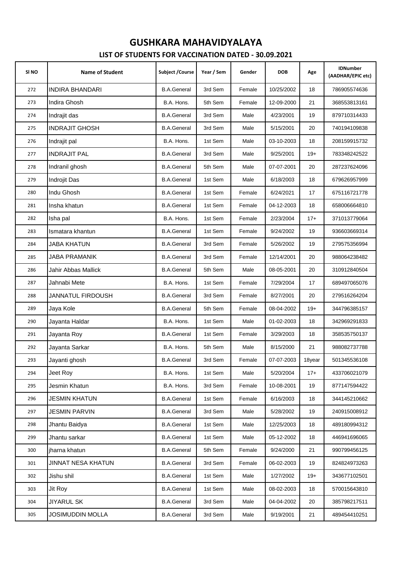| SI NO | <b>Name of Student</b>  | Subject / Course   | Year / Sem | Gender | <b>DOB</b> | Age    | <b>IDNumber</b><br>(AADHAR/EPIC etc) |
|-------|-------------------------|--------------------|------------|--------|------------|--------|--------------------------------------|
| 272   | <b>INDIRA BHANDARI</b>  | <b>B.A.General</b> | 3rd Sem    | Female | 10/25/2002 | 18     | 786905574636                         |
| 273   | Indira Ghosh            | B.A. Hons.         | 5th Sem    | Female | 12-09-2000 | 21     | 368553813161                         |
| 274   | Indrajit das            | <b>B.A.General</b> | 3rd Sem    | Male   | 4/23/2001  | 19     | 879710314433                         |
| 275   | <b>INDRAJIT GHOSH</b>   | <b>B.A.General</b> | 3rd Sem    | Male   | 5/15/2001  | 20     | 740194109838                         |
| 276   | Indrajit pal            | B.A. Hons.         | 1st Sem    | Male   | 03-10-2003 | 18     | 208159915732                         |
| 277   | <b>INDRAJIT PAL</b>     | <b>B.A.General</b> | 3rd Sem    | Male   | 9/25/2001  | $19+$  | 783348242522                         |
| 278   | Indranil ghosh          | <b>B.A.General</b> | 5th Sem    | Male   | 07-07-2001 | 20     | 287237624096                         |
| 279   | Indrojit Das            | <b>B.A.General</b> | 1st Sem    | Male   | 6/18/2003  | 18     | 679626957999                         |
| 280   | Indu Ghosh              | <b>B.A.General</b> | 1st Sem    | Female | 6/24/2021  | 17     | 675116721778                         |
| 281   | Insha khatun            | <b>B.A.General</b> | 1st Sem    | Female | 04-12-2003 | 18     | 658006664810                         |
| 282   | Isha pal                | B.A. Hons.         | 1st Sem    | Female | 2/23/2004  | $17+$  | 371013779064                         |
| 283   | Ismatara khantun        | <b>B.A.General</b> | 1st Sem    | Female | 9/24/2002  | 19     | 936603669314                         |
| 284   | JABA KHATUN             | <b>B.A.General</b> | 3rd Sem    | Female | 5/26/2002  | 19     | 279575356994                         |
| 285   | JABA PRAMANIK           | <b>B.A.General</b> | 3rd Sem    | Female | 12/14/2001 | 20     | 988064238482                         |
| 286   | Jahir Abbas Mallick     | <b>B.A.General</b> | 5th Sem    | Male   | 08-05-2001 | 20     | 310912840504                         |
| 287   | Jahnabi Mete            | B.A. Hons.         | 1st Sem    | Female | 7/29/2004  | 17     | 689497065076                         |
| 288   | JANNATUL FIRDOUSH       | <b>B.A.General</b> | 3rd Sem    | Female | 8/27/2001  | 20     | 279516264204                         |
| 289   | Jaya Kole               | <b>B.A.General</b> | 5th Sem    | Female | 08-04-2002 | $19+$  | 344796385157                         |
| 290   | Jayanta Haldar          | B.A. Hons.         | 1st Sem    | Male   | 01-02-2003 | 18     | 342969291833                         |
| 291   | Jayanta Roy             | <b>B.A.General</b> | 1st Sem    | Female | 3/29/2003  | 18     | 358535750137                         |
| 292   | Jayanta Sarkar          | B.A. Hons.         | 5th Sem    | Male   | 8/15/2000  | 21     | 988082737788                         |
| 293   | Jayanti ghosh           | <b>B.A.General</b> | 3rd Sem    | Female | 07-07-2003 | 18year | 501345536108                         |
| 294   | Jeet Rov                | B.A. Hons.         | 1st Sem    | Male   | 5/20/2004  | $17+$  | 433706021079                         |
| 295   | Jesmin Khatun           | B.A. Hons.         | 3rd Sem    | Female | 10-08-2001 | 19     | 877147594422                         |
| 296   | JESMIN KHATUN           | <b>B.A.General</b> | 1st Sem    | Female | 6/16/2003  | 18     | 344145210662                         |
| 297   | <b>JESMIN PARVIN</b>    | <b>B.A.General</b> | 3rd Sem    | Male   | 5/28/2002  | 19     | 240915008912                         |
| 298   | Jhantu Baidya           | <b>B.A.General</b> | 1st Sem    | Male   | 12/25/2003 | 18     | 489180994312                         |
| 299   | Jhantu sarkar           | <b>B.A.General</b> | 1st Sem    | Male   | 05-12-2002 | 18     | 446941696065                         |
| 300   | jharna khatun           | <b>B.A.General</b> | 5th Sem    | Female | 9/24/2000  | 21     | 990799456125                         |
| 301   | JINNAT NESA KHATUN      | <b>B.A.General</b> | 3rd Sem    | Female | 06-02-2003 | 19     | 824824973263                         |
| 302   | Jishu shil              | <b>B.A.General</b> | 1st Sem    | Male   | 1/27/2002  | $19+$  | 343677102501                         |
| 303   | Jit Roy                 | <b>B.A.General</b> | 1st Sem    | Male   | 08-02-2003 | 18     | 570015643810                         |
| 304   | <b>JIYARUL SK</b>       | <b>B.A.General</b> | 3rd Sem    | Male   | 04-04-2002 | 20     | 385798217511                         |
| 305   | <b>JOSIMUDDIN MOLLA</b> | <b>B.A.General</b> | 3rd Sem    | Male   | 9/19/2001  | 21     | 489454410251                         |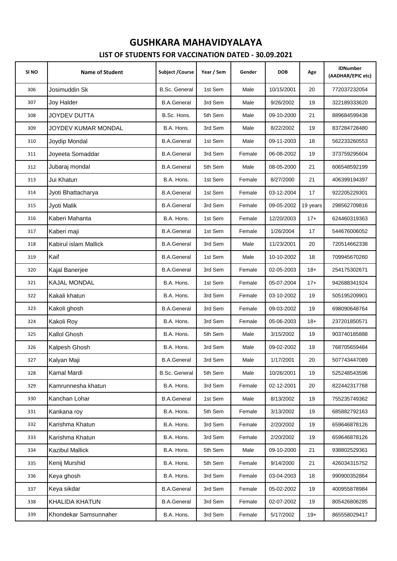| SI NO | <b>Name of Student</b> | <b>Subject / Course</b> | Year / Sem | Gender | <b>DOB</b> | Age      | <b>IDNumber</b><br>(AADHAR/EPIC etc) |
|-------|------------------------|-------------------------|------------|--------|------------|----------|--------------------------------------|
| 306   | Josimuddin Sk          | <b>B.Sc. General</b>    | 1st Sem    | Male   | 10/15/2001 | 20       | 772037232054                         |
| 307   | Joy Halder             | <b>B.A.General</b>      | 3rd Sem    | Male   | 9/26/2002  | 19       | 322189333620                         |
| 308   | JOYDEV DUTTA           | B.Sc. Hons.             | 5th Sem    | Male   | 09-10-2000 | 21       | 889684599438                         |
| 309   | JOYDEV KUMAR MONDAL    | B.A. Hons.              | 3rd Sem    | Male   | 8/22/2002  | 19       | 837284728480                         |
| 310   | Joydip Mondal          | <b>B.A.General</b>      | 1st Sem    | Male   | 09-11-2003 | 18       | 562233260553                         |
| 311   | Joyeeta Somaddar       | <b>B.A.General</b>      | 3rd Sem    | Female | 06-08-2002 | 19       | 373759295604                         |
| 312   | Jubaraj mondal         | <b>B.A.General</b>      | 5th Sem    | Male   | 08-05-2000 | 21       | 606548592199                         |
| 313   | Jui Khatun             | B.A. Hons.              | 1st Sem    | Female | 8/27/2000  | 21       | 406399194397                         |
| 314   | Jyoti Bhattacharya     | <b>B.A.General</b>      | 1st Sem    | Female | 03-12-2004 | 17       | 922205229301                         |
| 315   | Jyoti Malik            | <b>B.A.General</b>      | 3rd Sem    | Female | 09-05-2002 | 19 years | 298562709816                         |
| 316   | Kaberi Mahanta         | B.A. Hons.              | 1st Sem    | Female | 12/20/2003 | $17+$    | 624460319363                         |
| 317   | Kaberi maji            | <b>B.A.General</b>      | 1st Sem    | Female | 1/26/2004  | 17       | 544676006052                         |
| 318   | Kabirul islam Mallick  | <b>B.A.General</b>      | 3rd Sem    | Male   | 11/23/2001 | 20       | 720514662338                         |
| 319   | Kaif                   | <b>B.A.General</b>      | 1st Sem    | Male   | 10-10-2002 | 18       | 709945670260                         |
| 320   | Kajal Banerjee         | <b>B.A.General</b>      | 3rd Sem    | Female | 02-05-2003 | $18+$    | 254175302671                         |
| 321   | <b>KAJAL MONDAL</b>    | B.A. Hons.              | 1st Sem    | Female | 05-07-2004 | $17+$    | 942688341924                         |
| 322   | Kakali khatun          | B.A. Hons.              | 3rd Sem    | Female | 03-10-2002 | 19       | 505195209901                         |
| 323   | Kakoli ghosh           | <b>B.A.General</b>      | 3rd Sem    | Female | 09-03-2002 | 19       | 698090648764                         |
| 324   | Kakoli Roy             | B.A. Hons.              | 3rd Sem    | Female | 05-06-2003 | $18+$    | 237201850571                         |
| 325   | Kallol Ghosh           | B.A. Hons.              | 5th Sem    | Male   | 3/15/2002  | 19       | 903740185888                         |
| 326   | Kalpesh Ghosh          | B.A. Hons.              | 3rd Sem    | Male   | 09-02-2002 | 19       | 768705659484                         |
| 327   | Kalyan Maji            | <b>B.A.General</b>      | 3rd Sem    | Male   | 1/17/2001  | $20\,$   | 507743447089                         |
| 328   | Kamal Mardi            | <b>B.Sc. General</b>    | 5th Sem    | Male   | 10/26/2001 | 19       | 525248543596                         |
| 329   | Kamrunnesha khatun     | B.A. Hons.              | 3rd Sem    | Female | 02-12-2001 | 20       | 822442317768                         |
| 330   | Kanchan Lohar          | <b>B.A.General</b>      | 1st Sem    | Male   | 8/13/2002  | 19       | 755235749362                         |
| 331   | Kankana roy            | B.A. Hons.              | 5th Sem    | Female | 3/13/2002  | 19       | 685882792163                         |
| 332   | Karishma Khatun        | B.A. Hons.              | 3rd Sem    | Female | 2/20/2002  | 19       | 659646878126                         |
| 333   | Karishma Khatun        | B.A. Hons.              | 3rd Sem    | Female | 2/20/2002  | 19       | 659646878126                         |
| 334   | Kazibul Mallick        | B.A. Hons.              | 5th Sem    | Male   | 09-10-2000 | 21       | 938802529361                         |
| 335   | Kenij Murshid          | B.A. Hons.              | 5th Sem    | Female | 9/14/2000  | 21       | 426034315752                         |
| 336   | Keya ghosh             | B.A. Hons.              | 3rd Sem    | Female | 03-04-2003 | 18       | 990900352864                         |
| 337   | Keya sikdar            | <b>B.A.General</b>      | 3rd Sem    | Female | 05-02-2002 | 19       | 400955878984                         |
| 338   | KHALIDA KHATUN         | <b>B.A.General</b>      | 3rd Sem    | Female | 02-07-2002 | 19       | 805426806285                         |
| 339   | Khondekar Samsunnaher  | B.A. Hons.              | 3rd Sem    | Female | 5/17/2002  | $19+$    | 865558029417                         |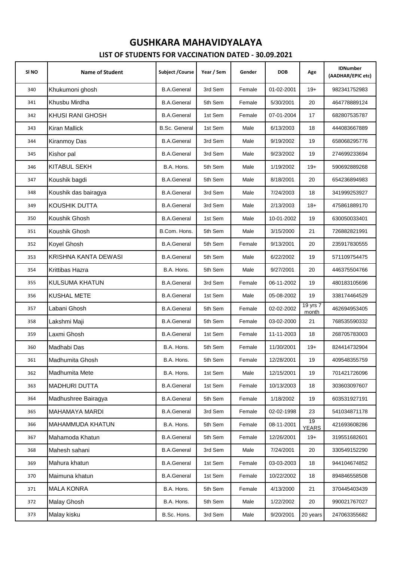| SI NO | <b>Name of Student</b> | Subject / Course     | Year / Sem | Gender | <b>DOB</b> | Age                | <b>IDNumber</b><br>(AADHAR/EPIC etc) |
|-------|------------------------|----------------------|------------|--------|------------|--------------------|--------------------------------------|
| 340   | Khukumoni ghosh        | <b>B.A.General</b>   | 3rd Sem    | Female | 01-02-2001 | $19+$              | 982341752983                         |
| 341   | Khusbu Mirdha          | <b>B.A.General</b>   | 5th Sem    | Female | 5/30/2001  | 20                 | 464778889124                         |
| 342   | KHUSI RANI GHOSH       | <b>B.A.General</b>   | 1st Sem    | Female | 07-01-2004 | 17                 | 682807535787                         |
| 343   | Kiran Mallick          | <b>B.Sc. General</b> | 1st Sem    | Male   | 6/13/2003  | 18                 | 444083667889                         |
| 344   | Kiranmoy Das           | <b>B.A.General</b>   | 3rd Sem    | Male   | 9/19/2002  | 19                 | 658068295776                         |
| 345   | Kishor pal             | <b>B.A.General</b>   | 3rd Sem    | Male   | 9/23/2002  | 19                 | 274699233694                         |
| 346   | <b>KITABUL SEKH</b>    | B.A. Hons.           | 5th Sem    | Male   | 1/19/2002  | $19+$              | 590692889268                         |
| 347   | Koushik bagdi          | <b>B.A.General</b>   | 5th Sem    | Male   | 8/18/2001  | 20                 | 654236894983                         |
| 348   | Koushik das bairagya   | <b>B.A.General</b>   | 3rd Sem    | Male   | 7/24/2003  | 18                 | 341999253927                         |
| 349   | KOUSHIK DUTTA          | <b>B.A.General</b>   | 3rd Sem    | Male   | 2/13/2003  | $18+$              | 475861889170                         |
| 350   | Koushik Ghosh          | <b>B.A.General</b>   | 1st Sem    | Male   | 10-01-2002 | 19                 | 630050033401                         |
| 351   | Koushik Ghosh          | B.Com. Hons.         | 5th Sem    | Male   | 3/15/2000  | 21                 | 726882821991                         |
| 352   | Koyel Ghosh            | <b>B.A.General</b>   | 5th Sem    | Female | 9/13/2001  | 20                 | 235917830555                         |
| 353   | KRISHNA KANTA DEWASI   | <b>B.A.General</b>   | 5th Sem    | Male   | 6/22/2002  | 19                 | 571109754475                         |
| 354   | Krittibas Hazra        | B.A. Hons.           | 5th Sem    | Male   | 9/27/2001  | 20                 | 446375504766                         |
| 355   | <b>KULSUMA KHATUN</b>  | <b>B.A.General</b>   | 3rd Sem    | Female | 06-11-2002 | 19                 | 480183105696                         |
| 356   | <b>KUSHAL METE</b>     | <b>B.A.General</b>   | 1st Sem    | Male   | 05-08-2002 | 19                 | 338174464529                         |
| 357   | Labani Ghosh           | <b>B.A.General</b>   | 5th Sem    | Female | 02-02-2002 | 19 yrs 7<br>month  | 462694953405                         |
| 358   | Lakshmi Maji           | <b>B.A.General</b>   | 5th Sem    | Female | 03-02-2000 | 21                 | 768535590332                         |
| 359   | Laxmi Ghosh            | <b>B.A.General</b>   | 1st Sem    | Female | 11-11-2003 | 18                 | 268705783003                         |
| 360   | Madhabi Das            | B.A. Hons.           | 5th Sem    | Female | 11/30/2001 | $19+$              | 824414732904                         |
| 361   | Madhumita Ghosh        | B.A. Hons.           | 5th Sem    | Female | 12/28/2001 | 19                 | 409548355759                         |
| 362   | Madhumita Mete         | B.A. Hons.           | 1st Sem    | Male   | 12/15/2001 | 19                 | 701421726096                         |
| 363   | <b>MADHURI DUTTA</b>   | <b>B.A.General</b>   | 1st Sem    | Female | 10/13/2003 | 18                 | 303603097607                         |
| 364   | Madhushree Bairagya    | <b>B.A.General</b>   | 5th Sem    | Female | 1/18/2002  | 19                 | 603531927191                         |
| 365   | MAHAMAYA MARDI         | <b>B.A.General</b>   | 3rd Sem    | Female | 02-02-1998 | 23                 | 541034871178                         |
| 366   | MAHAMMUDA KHATUN       | B.A. Hons.           | 5th Sem    | Female | 08-11-2001 | 19<br><b>YEARS</b> | 421693608286                         |
| 367   | Mahamoda Khatun        | <b>B.A.General</b>   | 5th Sem    | Female | 12/26/2001 | $19+$              | 319551682601                         |
| 368   | Mahesh sahani          | <b>B.A.General</b>   | 3rd Sem    | Male   | 7/24/2001  | 20                 | 330549152290                         |
| 369   | Mahura khatun          | <b>B.A.General</b>   | 1st Sem    | Female | 03-03-2003 | 18                 | 944104674852                         |
| 370   | Maimuna khatun         | <b>B.A.General</b>   | 1st Sem    | Female | 10/22/2002 | 18                 | 894846558508                         |
| 371   | <b>MALA KONRA</b>      | B.A. Hons.           | 5th Sem    | Female | 4/13/2000  | 21                 | 370445403439                         |
| 372   | Malay Ghosh            | B.A. Hons.           | 5th Sem    | Male   | 1/22/2002  | 20                 | 990021767027                         |
| 373   | Malay kisku            | B.Sc. Hons.          | 3rd Sem    | Male   | 9/20/2001  | 20 years           | 247063355682                         |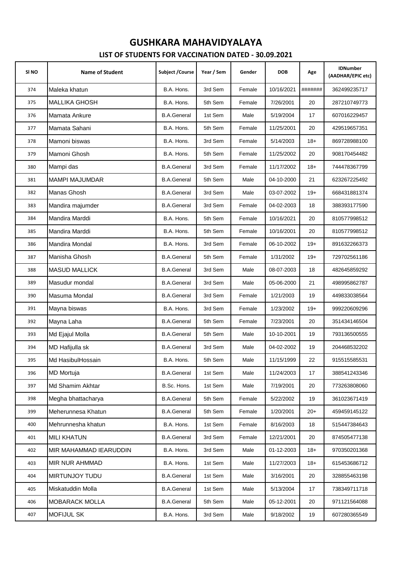| SI NO | <b>Name of Student</b> | Subject / Course   | Year / Sem | Gender | <b>DOB</b> | Age     | <b>IDNumber</b><br>(AADHAR/EPIC etc) |
|-------|------------------------|--------------------|------------|--------|------------|---------|--------------------------------------|
| 374   | Maleka khatun          | B.A. Hons.         | 3rd Sem    | Female | 10/16/2021 | ####### | 362499235717                         |
| 375   | <b>MALLIKA GHOSH</b>   | B.A. Hons.         | 5th Sem    | Female | 7/26/2001  | 20      | 287210749773                         |
| 376   | Mamata Ankure          | <b>B.A.General</b> | 1st Sem    | Male   | 5/19/2004  | 17      | 607016229457                         |
| 377   | Mamata Sahani          | B.A. Hons.         | 5th Sem    | Female | 11/25/2001 | 20      | 429519657351                         |
| 378   | Mamoni biswas          | B.A. Hons.         | 3rd Sem    | Female | 5/14/2003  | $18+$   | 869728988100                         |
| 379   | Mamoni Ghosh           | B.A. Hons.         | 5th Sem    | Female | 11/25/2002 | 20      | 908170454482                         |
| 380   | Mampi das              | <b>B.A.General</b> | 3rd Sem    | Female | 11/17/2002 | $18+$   | 744478367799                         |
| 381   | <b>MAMPI MAJUMDAR</b>  | <b>B.A.General</b> | 5th Sem    | Male   | 04-10-2000 | 21      | 623267225492                         |
| 382   | Manas Ghosh            | <b>B.A.General</b> | 3rd Sem    | Male   | 03-07-2002 | $19+$   | 668431881374                         |
| 383   | Mandira majumder       | <b>B.A.General</b> | 3rd Sem    | Female | 04-02-2003 | 18      | 388393177590                         |
| 384   | Mandira Marddi         | B.A. Hons.         | 5th Sem    | Female | 10/16/2021 | 20      | 810577998512                         |
| 385   | Mandira Marddi         | B.A. Hons.         | 5th Sem    | Female | 10/16/2001 | 20      | 810577998512                         |
| 386   | Mandira Mondal         | B.A. Hons.         | 3rd Sem    | Female | 06-10-2002 | $19+$   | 891632266373                         |
| 387   | Manisha Ghosh          | <b>B.A.General</b> | 5th Sem    | Female | 1/31/2002  | $19+$   | 729702561186                         |
| 388   | <b>MASUD MALLICK</b>   | <b>B.A.General</b> | 3rd Sem    | Male   | 08-07-2003 | 18      | 482645859292                         |
| 389   | Masudur mondal         | <b>B.A.General</b> | 3rd Sem    | Male   | 05-06-2000 | 21      | 498995862787                         |
| 390   | Masuma Mondal          | <b>B.A.General</b> | 3rd Sem    | Female | 1/21/2003  | 19      | 449833038564                         |
| 391   | Mayna biswas           | B.A. Hons.         | 3rd Sem    | Female | 1/23/2002  | $19+$   | 999220609296                         |
| 392   | Mayna Laha             | <b>B.A.General</b> | 5th Sem    | Female | 7/23/2001  | 20      | 351434146504                         |
| 393   | Md Ejajul Molla        | <b>B.A.General</b> | 5th Sem    | Male   | 10-10-2001 | 19      | 793136500555                         |
| 394   | MD Hafijulla sk        | <b>B.A.General</b> | 3rd Sem    | Male   | 04-02-2002 | 19      | 204468532202                         |
| 395   | Md HasibulHossain      | B.A. Hons.         | 5th Sem    | Male   | 11/15/1999 | 22      | 915515585531                         |
| 396   | <b>MD Mortuja</b>      | <b>B.A.General</b> | 1st Sem    | Male   | 11/24/2003 | 17      | 388541243346                         |
| 397   | Md Shamim Akhtar       | B.Sc. Hons.        | 1st Sem    | Male   | 7/19/2001  | 20      | 773263808060                         |
| 398   | Megha bhattacharya     | <b>B.A.General</b> | 5th Sem    | Female | 5/22/2002  | 19      | 361023671419                         |
| 399   | Meherunnesa Khatun     | <b>B.A.General</b> | 5th Sem    | Female | 1/20/2001  | $20+$   | 459459145122                         |
| 400   | Mehrunnesha khatun     | B.A. Hons.         | 1st Sem    | Female | 8/16/2003  | 18      | 515447384643                         |
| 401   | <b>MILI KHATUN</b>     | <b>B.A.General</b> | 3rd Sem    | Female | 12/21/2001 | 20      | 874505477138                         |
| 402   | MIR MAHAMMAD IEARUDDIN | B.A. Hons.         | 3rd Sem    | Male   | 01-12-2003 | $18+$   | 970350201368                         |
| 403   | MIR NUR AHMMAD         | B.A. Hons.         | 1st Sem    | Male   | 11/27/2003 | $18+$   | 615453686712                         |
| 404   | MIRTUNJOY TUDU         | <b>B.A.General</b> | 1st Sem    | Male   | 3/16/2001  | 20      | 328855463198                         |
| 405   | Miskatuddin Molla      | <b>B.A.General</b> | 1st Sem    | Male   | 5/13/2004  | 17      | 738349711718                         |
| 406   | MOBARACK MOLLA         | <b>B.A.General</b> | 5th Sem    | Male   | 05-12-2001 | 20      | 971121564088                         |
| 407   | <b>MOFIJUL SK</b>      | B.A. Hons.         | 3rd Sem    | Male   | 9/18/2002  | 19      | 607280365549                         |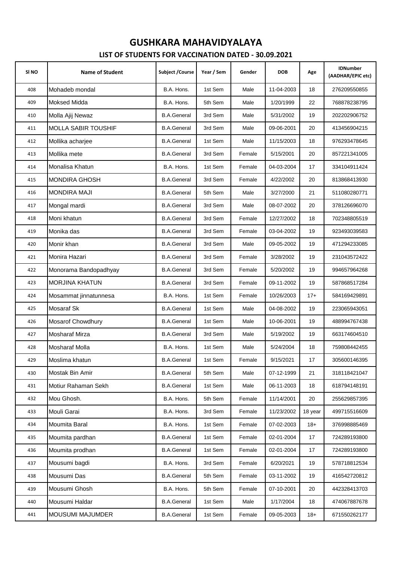| SI <sub>NO</sub> | <b>Name of Student</b>     | Subject / Course   | Year / Sem | Gender | <b>DOB</b> | Age     | <b>IDNumber</b><br>(AADHAR/EPIC etc) |
|------------------|----------------------------|--------------------|------------|--------|------------|---------|--------------------------------------|
| 408              | Mohadeb mondal             | B.A. Hons.         | 1st Sem    | Male   | 11-04-2003 | 18      | 276209550855                         |
| 409              | <b>Moksed Midda</b>        | B.A. Hons.         | 5th Sem    | Male   | 1/20/1999  | 22      | 768878238795                         |
| 410              | Molla Ajij Newaz           | <b>B.A.General</b> | 3rd Sem    | Male   | 5/31/2002  | 19      | 202202906752                         |
| 411              | <b>MOLLA SABIR TOUSHIF</b> | <b>B.A.General</b> | 3rd Sem    | Male   | 09-06-2001 | 20      | 413456904215                         |
| 412              | Mollika acharjee           | <b>B.A.General</b> | 1st Sem    | Male   | 11/15/2003 | 18      | 976293478645                         |
| 413              | Mollika mete               | <b>B.A.General</b> | 3rd Sem    | Female | 5/15/2001  | 20      | 857221341005                         |
| 414              | Monalisa Khatun            | B.A. Hons.         | 1st Sem    | Female | 04-03-2004 | 17      | 334104911424                         |
| 415              | <b>MONDIRA GHOSH</b>       | <b>B.A.General</b> | 3rd Sem    | Female | 4/22/2002  | 20      | 813868413930                         |
| 416              | <b>MONDIRA MAJI</b>        | <b>B.A.General</b> | 5th Sem    | Male   | 3/27/2000  | 21      | 511080280771                         |
| 417              | Mongal mardi               | <b>B.A.General</b> | 3rd Sem    | Male   | 08-07-2002 | 20      | 378126696070                         |
| 418              | Moni khatun                | <b>B.A.General</b> | 3rd Sem    | Female | 12/27/2002 | 18      | 702348805519                         |
| 419              | Monika das                 | <b>B.A.General</b> | 3rd Sem    | Female | 03-04-2002 | 19      | 923493039583                         |
| 420              | Monir khan                 | <b>B.A.General</b> | 3rd Sem    | Male   | 09-05-2002 | 19      | 471294233085                         |
| 421              | Monira Hazari              | <b>B.A.General</b> | 3rd Sem    | Female | 3/28/2002  | 19      | 231043572422                         |
| 422              | Monorama Bandopadhyay      | <b>B.A.General</b> | 3rd Sem    | Female | 5/20/2002  | 19      | 994657964268                         |
| 423              | <b>MORJINA KHATUN</b>      | <b>B.A.General</b> | 3rd Sem    | Female | 09-11-2002 | 19      | 587868517284                         |
| 424              | Mosammat jinnatunnesa      | B.A. Hons.         | 1st Sem    | Female | 10/26/2003 | $17+$   | 584169429891                         |
| 425              | Mosaraf Sk                 | <b>B.A.General</b> | 1st Sem    | Male   | 04-08-2002 | 19      | 223065943051                         |
| 426              | Mosarof Chowdhury          | <b>B.A.General</b> | 1st Sem    | Male   | 10-06-2001 | 19      | 488994767438                         |
| 427              | Mosharaf Mirza             | <b>B.A.General</b> | 3rd Sem    | Male   | 5/19/2002  | 19      | 663174604510                         |
| 428              | Mosharaf Molla             | B.A. Hons.         | 1st Sem    | Male   | 5/24/2004  | 18      | 759808442455                         |
| 429              | Moslima khatun             | <b>B.A.General</b> | 1st Sem    | Female | 9/15/2021  | 17      | 305600146395                         |
| 430              | Mostak Bin Amir            | <b>B.A.General</b> | 5th Sem    | Male   | 07-12-1999 | 21      | 318118421047                         |
| 431              | Motiur Rahaman Sekh        | <b>B.A.General</b> | 1st Sem    | Male   | 06-11-2003 | 18      | 618794148191                         |
| 432              | Mou Ghosh.                 | B.A. Hons.         | 5th Sem    | Female | 11/14/2001 | 20      | 255629857395                         |
| 433              | Mouli Garai                | B.A. Hons.         | 3rd Sem    | Female | 11/23/2002 | 18 year | 499715516609                         |
| 434              | Moumita Baral              | B.A. Hons.         | 1st Sem    | Female | 07-02-2003 | $18+$   | 376998885469                         |
| 435              | Moumita pardhan            | <b>B.A.General</b> | 1st Sem    | Female | 02-01-2004 | 17      | 724289193800                         |
| 436              | Moumita prodhan            | <b>B.A.General</b> | 1st Sem    | Female | 02-01-2004 | 17      | 724289193800                         |
| 437              | Mousumi bagdi              | B.A. Hons.         | 3rd Sem    | Female | 6/20/2021  | 19      | 578718812534                         |
| 438              | Mousumi Das                | <b>B.A.General</b> | 5th Sem    | Female | 03-11-2002 | 19      | 416542720812                         |
| 439              | Mousumi Ghosh              | B.A. Hons.         | 5th Sem    | Female | 07-10-2001 | 20      | 442328413703                         |
| 440              | Mousumi Haldar             | <b>B.A.General</b> | 1st Sem    | Male   | 1/17/2004  | 18      | 474067887678                         |
| 441              | MOUSUMI MAJUMDER           | <b>B.A.General</b> | 1st Sem    | Female | 09-05-2003 | $18+$   | 671550262177                         |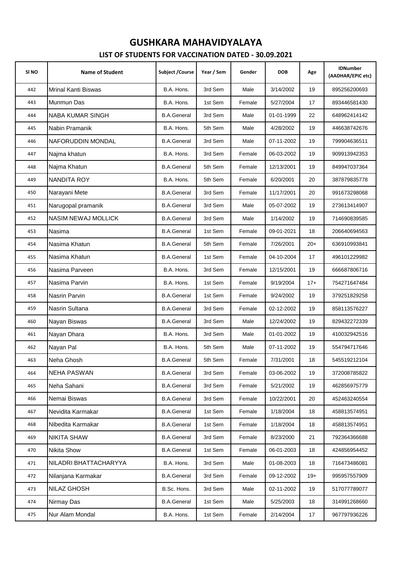| SI <sub>NO</sub> | <b>Name of Student</b>     | Subject / Course   | Year / Sem | Gender | <b>DOB</b> | Age   | <b>IDNumber</b><br>(AADHAR/EPIC etc) |
|------------------|----------------------------|--------------------|------------|--------|------------|-------|--------------------------------------|
| 442              | <b>Mrinal Kanti Biswas</b> | B.A. Hons.         | 3rd Sem    | Male   | 3/14/2002  | 19    | 895256200693                         |
| 443              | Munmun Das                 | B.A. Hons.         | 1st Sem    | Female | 5/27/2004  | 17    | 893446581430                         |
| 444              | NABA KUMAR SINGH           | <b>B.A.General</b> | 3rd Sem    | Male   | 01-01-1999 | 22    | 648962414142                         |
| 445              | Nabin Pramanik             | B.A. Hons.         | 5th Sem    | Male   | 4/28/2002  | 19    | 446638742676                         |
| 446              | NAFORUDDIN MONDAL          | <b>B.A.General</b> | 3rd Sem    | Male   | 07-11-2002 | 19    | 799904636511                         |
| 447              | Najma khatun               | B.A. Hons.         | 3rd Sem    | Female | 06-03-2002 | 19    | 909913942353                         |
| 448              | Najma Khatun               | <b>B.A.General</b> | 5th Sem    | Female | 12/13/2001 | 19    | 849947037364                         |
| 449              | <b>NANDITA ROY</b>         | B.A. Hons.         | 5th Sem    | Female | 6/20/2001  | 20    | 387879835778                         |
| 450              | Narayani Mete              | <b>B.A.General</b> | 3rd Sem    | Female | 11/17/2001 | 20    | 991673298068                         |
| 451              | Narugopal pramanik         | <b>B.A.General</b> | 3rd Sem    | Male   | 05-07-2002 | 19    | 273613414907                         |
| 452              | <b>NASIM NEWAJ MOLLICK</b> | <b>B.A.General</b> | 3rd Sem    | Male   | 1/14/2002  | 19    | 714690839585                         |
| 453              | Nasima                     | <b>B.A.General</b> | 1st Sem    | Female | 09-01-2021 | 18    | 206640694563                         |
| 454              | Nasima Khatun              | <b>B.A.General</b> | 5th Sem    | Female | 7/26/2001  | $20+$ | 636910993841                         |
| 455              | Nasima Khatun              | <b>B.A.General</b> | 1st Sem    | Female | 04-10-2004 | 17    | 496101229982                         |
| 456              | Nasima Parveen             | B.A. Hons.         | 3rd Sem    | Female | 12/15/2001 | 19    | 666687806716                         |
| 457              | Nasima Parvin              | B.A. Hons.         | 1st Sem    | Female | 9/19/2004  | $17+$ | 754271647484                         |
| 458              | Nasrin Parvin              | <b>B.A.General</b> | 1st Sem    | Female | 9/24/2002  | 19    | 379251829258                         |
| 459              | Nasrin Sultana             | <b>B.A.General</b> | 3rd Sem    | Female | 02-12-2002 | 19    | 858113576227                         |
| 460              | Nayan Biswas               | <b>B.A.General</b> | 3rd Sem    | Male   | 12/24/2002 | 19    | 829432272339                         |
| 461              | Nayan Dhara                | B.A. Hons.         | 3rd Sem    | Male   | 01-01-2002 | 19    | 410032942516                         |
| 462              | Nayan Pal                  | B.A. Hons.         | 5th Sem    | Male   | 07-11-2002 | 19    | 554794717646                         |
| 463              | Neha Ghosh                 | <b>B.A.General</b> | 5th Sem    | Female | 7/31/2001  | 18    | 545519212104                         |
| 464              | <b>NEHA PASWAN</b>         | <b>B.A.General</b> | 3rd Sem    | Female | 03-06-2002 | 19    | 372008785822                         |
| 465              | Neha Sahani                | <b>B.A.General</b> | 3rd Sem    | Female | 5/21/2002  | 19    | 462856975779                         |
| 466              | Nemai Biswas               | <b>B.A.General</b> | 3rd Sem    | Female | 10/22/2001 | 20    | 452463240554                         |
| 467              | Nevidita Karmakar          | <b>B.A.General</b> | 1st Sem    | Female | 1/18/2004  | 18    | 458813574951                         |
| 468              | Nibedita Karmakar          | <b>B.A.General</b> | 1st Sem    | Female | 1/18/2004  | 18    | 458813574951                         |
| 469              | <b>NIKITA SHAW</b>         | <b>B.A.General</b> | 3rd Sem    | Female | 8/23/2000  | 21    | 792364366688                         |
| 470              | Nikita Show                | <b>B.A.General</b> | 1st Sem    | Female | 06-01-2003 | 18    | 424856954452                         |
| 471              | NILADRI BHATTACHARYYA      | B.A. Hons.         | 3rd Sem    | Male   | 01-08-2003 | 18    | 716473486081                         |
| 472              | Nilanjana Karmakar         | <b>B.A.General</b> | 3rd Sem    | Female | 09-12-2002 | $19+$ | 995957557909                         |
| 473              | NILAZ GHOSH                | B.Sc. Hons.        | 3rd Sem    | Male   | 02-11-2002 | 19    | 517077789077                         |
| 474              | Nirmay Das                 | <b>B.A.General</b> | 1st Sem    | Male   | 5/25/2003  | 18    | 314991268660                         |
| 475              | Nur Alam Mondal            | B.A. Hons.         | 1st Sem    | Female | 2/14/2004  | 17    | 967797936226                         |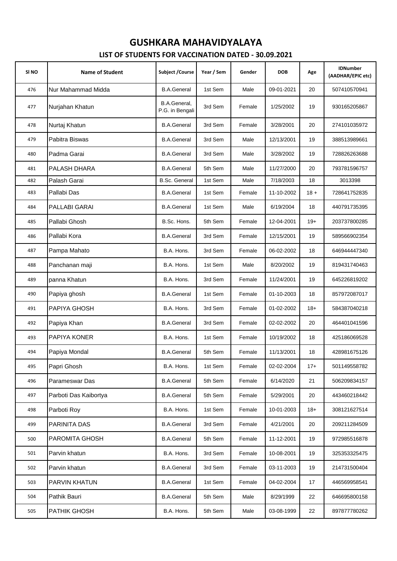| SI <sub>NO</sub> | <b>Name of Student</b> | <b>Subject / Course</b>                | Year / Sem | Gender | <b>DOB</b> | Age    | <b>IDNumber</b><br>(AADHAR/EPIC etc) |
|------------------|------------------------|----------------------------------------|------------|--------|------------|--------|--------------------------------------|
| 476              | Nur Mahammad Midda     | <b>B.A.General</b>                     | 1st Sem    | Male   | 09-01-2021 | 20     | 507410570941                         |
| 477              | Nurjahan Khatun        | <b>B.A.General.</b><br>P.G. in Bengali | 3rd Sem    | Female | 1/25/2002  | 19     | 930165205867                         |
| 478              | Nurtaj Khatun          | <b>B.A.General</b>                     | 3rd Sem    | Female | 3/28/2001  | 20     | 274101035972                         |
| 479              | Pabitra Biswas         | <b>B.A.General</b>                     | 3rd Sem    | Male   | 12/13/2001 | 19     | 388513989661                         |
| 480              | Padma Garai            | <b>B.A.General</b>                     | 3rd Sem    | Male   | 3/28/2002  | 19     | 728826263688                         |
| 481              | PALASH DHARA           | <b>B.A.General</b>                     | 5th Sem    | Male   | 11/27/2000 | 20     | 793781596757                         |
| 482              | Palash Garai           | <b>B.Sc. General</b>                   | 1st Sem    | Male   | 7/18/2003  | 18     | 3013398                              |
| 483              | Pallabi Das            | <b>B.A.General</b>                     | 1st Sem    | Female | 11-10-2002 | $18 +$ | 728641752835                         |
| 484              | PALLABI GARAI          | <b>B.A.General</b>                     | 1st Sem    | Male   | 6/19/2004  | 18     | 440791735395                         |
| 485              | Pallabi Ghosh          | B.Sc. Hons.                            | 5th Sem    | Female | 12-04-2001 | $19+$  | 203737800285                         |
| 486              | Pallabi Kora           | <b>B.A.General</b>                     | 3rd Sem    | Female | 12/15/2001 | 19     | 589566902354                         |
| 487              | Pampa Mahato           | B.A. Hons.                             | 3rd Sem    | Female | 06-02-2002 | 18     | 646944447340                         |
| 488              | Panchanan maji         | B.A. Hons.                             | 1st Sem    | Male   | 8/20/2002  | 19     | 819431740463                         |
| 489              | panna Khatun           | B.A. Hons.                             | 3rd Sem    | Female | 11/24/2001 | 19     | 645226819202                         |
| 490              | Papiya ghosh           | <b>B.A.General</b>                     | 1st Sem    | Female | 01-10-2003 | 18     | 857972087017                         |
| 491              | PAPIYA GHOSH           | B.A. Hons.                             | 3rd Sem    | Female | 01-02-2002 | $18+$  | 584387040218                         |
| 492              | Papiya Khan            | <b>B.A.General</b>                     | 3rd Sem    | Female | 02-02-2002 | 20     | 464401041596                         |
| 493              | <b>PAPIYA KONER</b>    | B.A. Hons.                             | 1st Sem    | Female | 10/19/2002 | 18     | 425186069528                         |
| 494              | Papiya Mondal          | <b>B.A.General</b>                     | 5th Sem    | Female | 11/13/2001 | 18     | 428981675126                         |
| 495              | Papri Ghosh            | B.A. Hons.                             | 1st Sem    | Female | 02-02-2004 | $17+$  | 501149558782                         |
| 496              | Parameswar Das         | <b>B.A.General</b>                     | 5th Sem    | Female | 6/14/2020  | 21     | 506209834157                         |
| 497              | Parboti Das Kaibortya  | <b>B.A.General</b>                     | 5th Sem    | Female | 5/29/2001  | 20     | 443460218442                         |
| 498              | Parboti Roy            | B.A. Hons.                             | 1st Sem    | Female | 10-01-2003 | $18+$  | 308121627514                         |
| 499              | PARINITA DAS           | <b>B.A.General</b>                     | 3rd Sem    | Female | 4/21/2001  | 20     | 209211284509                         |
| 500              | PAROMITA GHOSH         | <b>B.A.General</b>                     | 5th Sem    | Female | 11-12-2001 | 19     | 972985516878                         |
| 501              | Parvin khatun          | B.A. Hons.                             | 3rd Sem    | Female | 10-08-2001 | 19     | 325353325475                         |
| 502              | Parvin khatun          | <b>B.A.General</b>                     | 3rd Sem    | Female | 03-11-2003 | 19     | 214731500404                         |
| 503              | PARVIN KHATUN          | <b>B.A.General</b>                     | 1st Sem    | Female | 04-02-2004 | 17     | 446569958541                         |
| 504              | Pathik Bauri           | <b>B.A.General</b>                     | 5th Sem    | Male   | 8/29/1999  | 22     | 646695800158                         |
| 505              | PATHIK GHOSH           | B.A. Hons.                             | 5th Sem    | Male   | 03-08-1999 | 22     | 897877780262                         |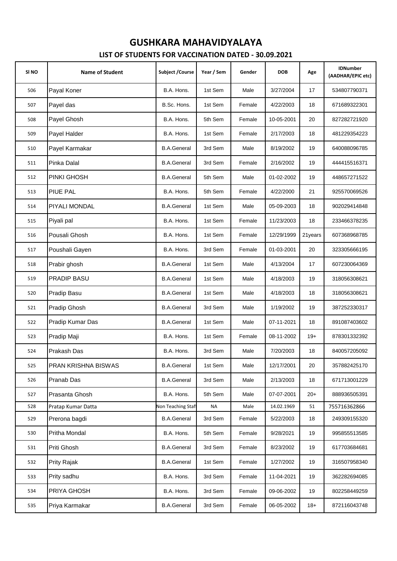#### **LIST OF STUDENTS FOR VACCINATION DATED - 30.09.2021 GUSHKARA MAHAVIDYALAYA**

| SI <sub>NO</sub> | <b>Name of Student</b> | Subject / Course   | Year / Sem | Gender | <b>DOB</b> | Age     | <b>IDNumber</b><br>(AADHAR/EPIC etc) |
|------------------|------------------------|--------------------|------------|--------|------------|---------|--------------------------------------|
| 506              | Payal Koner            | B.A. Hons.         | 1st Sem    | Male   | 3/27/2004  | 17      | 534807790371                         |
| 507              | Payel das              | B.Sc. Hons.        | 1st Sem    | Female | 4/22/2003  | 18      | 671689322301                         |
| 508              | Payel Ghosh            | B.A. Hons.         | 5th Sem    | Female | 10-05-2001 | 20      | 827282721920                         |
| 509              | Payel Halder           | B.A. Hons.         | 1st Sem    | Female | 2/17/2003  | 18      | 481229354223                         |
| 510              | Payel Karmakar         | <b>B.A.General</b> | 3rd Sem    | Male   | 8/19/2002  | 19      | 640088096785                         |
| 511              | Pinka Dalal            | <b>B.A.General</b> | 3rd Sem    | Female | 2/16/2002  | 19      | 444415516371                         |
| 512              | PINKI GHOSH            | <b>B.A.General</b> | 5th Sem    | Male   | 01-02-2002 | 19      | 448657271522                         |
| 513              | PIUE PAL               | B.A. Hons.         | 5th Sem    | Female | 4/22/2000  | 21      | 925570069526                         |
| 514              | PIYALI MONDAL          | <b>B.A.General</b> | 1st Sem    | Male   | 05-09-2003 | 18      | 902029414848                         |
| 515              | Piyali pal             | B.A. Hons.         | 1st Sem    | Female | 11/23/2003 | 18      | 233466378235                         |
| 516              | Pousali Ghosh          | B.A. Hons.         | 1st Sem    | Female | 12/29/1999 | 21years | 607368968785                         |
| 517              | Poushali Gayen         | B.A. Hons.         | 3rd Sem    | Female | 01-03-2001 | 20      | 323305666195                         |
| 518              | Prabir ghosh           | <b>B.A.General</b> | 1st Sem    | Male   | 4/13/2004  | 17      | 607230064369                         |
| 519              | <b>PRADIP BASU</b>     | <b>B.A.General</b> | 1st Sem    | Male   | 4/18/2003  | 19      | 318056308621                         |
| 520              | Pradip Basu            | <b>B.A.General</b> | 1st Sem    | Male   | 4/18/2003  | 18      | 318056308621                         |
| 521              | Pradip Ghosh           | <b>B.A.General</b> | 3rd Sem    | Male   | 1/19/2002  | 19      | 387252330317                         |
| 522              | Pradip Kumar Das       | <b>B.A.General</b> | 1st Sem    | Male   | 07-11-2021 | 18      | 891087403602                         |
| 523              | Pradip Maji            | B.A. Hons.         | 1st Sem    | Female | 08-11-2002 | $19+$   | 878301332392                         |
| 524              | Prakash Das            | B.A. Hons.         | 3rd Sem    | Male   | 7/20/2003  | 18      | 840057205092                         |
| 525              | PRAN KRISHNA BISWAS    | <b>B.A.General</b> | 1st Sem    | Male   | 12/17/2001 | 20      | 357882425170                         |
| 526              | Pranab Das             | <b>B.A.General</b> | 3rd Sem    | Male   | 2/13/2003  | 18      | 671713001229                         |
| 527              | Prasanta Ghosh         | B.A. Hons.         | 5th Sem    | Male   | 07-07-2001 | $20+$   | 888936505391                         |
| 528              | Pratap Kumar Datta     | Non Teaching Staft | <b>NA</b>  | Male   | 14.02.1969 | 51      | 755716362866                         |
| 529              | Prerona bagdi          | <b>B.A.General</b> | 3rd Sem    | Female | 5/22/2003  | 18      | 249309155320                         |
| 530              | Pritha Mondal          | B.A. Hons.         | 5th Sem    | Female | 9/28/2021  | 19      | 995855513585                         |
| 531              | Priti Ghosh            | <b>B.A.General</b> | 3rd Sem    | Female | 8/23/2002  | 19      | 617703684681                         |
| 532              | Prity Rajak            | <b>B.A.General</b> | 1st Sem    | Female | 1/27/2002  | 19      | 316507958340                         |
| 533              | Prity sadhu            | B.A. Hons.         | 3rd Sem    | Female | 11-04-2021 | 19      | 362282694085                         |
| 534              | PRIYA GHOSH            | B.A. Hons.         | 3rd Sem    | Female | 09-06-2002 | 19      | 802258449259                         |
| 535              | Priya Karmakar         | <b>B.A.General</b> | 3rd Sem    | Female | 06-05-2002 | $18+$   | 872116043748                         |